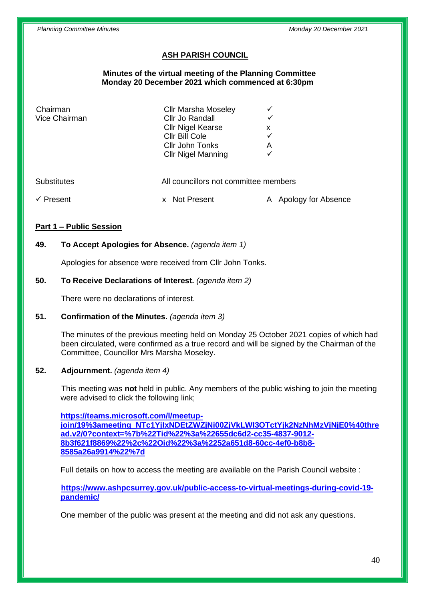## **ASH PARISH COUNCIL**

#### **Minutes of the virtual meeting of the Planning Committee Monday 20 December 2021 which commenced at 6:30pm**

| Chairman<br>Vice Chairman | <b>Cllr Marsha Moseley</b><br>Cllr Jo Randall<br><b>Cllr Nigel Kearse</b><br>Cllr Bill Cole<br>Cllr John Tonks<br><b>Cllr Nigel Manning</b> | X<br>Α              |
|---------------------------|---------------------------------------------------------------------------------------------------------------------------------------------|---------------------|
| <b>Substitutes</b>        | All councillors not committee members                                                                                                       | Apology for Absence |
| Present                   | Not Present                                                                                                                                 | A                   |

### **Part 1 – Public Session**

### **49. To Accept Apologies for Absence.** *(agenda item 1)*

Apologies for absence were received from Cllr John Tonks.

#### **50. To Receive Declarations of Interest.** *(agenda item 2)*

There were no declarations of interest.

### **51. Confirmation of the Minutes.** *(agenda item 3)*

The minutes of the previous meeting held on Monday 25 October 2021 copies of which had been circulated, were confirmed as a true record and will be signed by the Chairman of the Committee, Councillor Mrs Marsha Moseley.

#### **52. Adjournment.** *(agenda item 4)*

This meeting was **not** held in public. Any members of the public wishing to join the meeting were advised to click the following link;

**[https://teams.microsoft.com/l/meetup](https://teams.microsoft.com/l/meetup-join/19%3ameeting_NTc1YjIxNDEtZWZjNi00ZjVkLWI3OTctYjk2NzNhMzVjNjE0%40thread.v2/0?context=%7b%22Tid%22%3a%22655dc6d2-cc35-4837-9012-8b3f621f8869%22%2c%22Oid%22%3a%2252a651d8-60cc-4ef0-b8b8-8585a26a9914%22%7d)[join/19%3ameeting\\_NTc1YjIxNDEtZWZjNi00ZjVkLWI3OTctYjk2NzNhMzVjNjE0%40thre](https://teams.microsoft.com/l/meetup-join/19%3ameeting_NTc1YjIxNDEtZWZjNi00ZjVkLWI3OTctYjk2NzNhMzVjNjE0%40thread.v2/0?context=%7b%22Tid%22%3a%22655dc6d2-cc35-4837-9012-8b3f621f8869%22%2c%22Oid%22%3a%2252a651d8-60cc-4ef0-b8b8-8585a26a9914%22%7d) [ad.v2/0?context=%7b%22Tid%22%3a%22655dc6d2-cc35-4837-9012-](https://teams.microsoft.com/l/meetup-join/19%3ameeting_NTc1YjIxNDEtZWZjNi00ZjVkLWI3OTctYjk2NzNhMzVjNjE0%40thread.v2/0?context=%7b%22Tid%22%3a%22655dc6d2-cc35-4837-9012-8b3f621f8869%22%2c%22Oid%22%3a%2252a651d8-60cc-4ef0-b8b8-8585a26a9914%22%7d) [8b3f621f8869%22%2c%22Oid%22%3a%2252a651d8-60cc-4ef0-b8b8-](https://teams.microsoft.com/l/meetup-join/19%3ameeting_NTc1YjIxNDEtZWZjNi00ZjVkLWI3OTctYjk2NzNhMzVjNjE0%40thread.v2/0?context=%7b%22Tid%22%3a%22655dc6d2-cc35-4837-9012-8b3f621f8869%22%2c%22Oid%22%3a%2252a651d8-60cc-4ef0-b8b8-8585a26a9914%22%7d) [8585a26a9914%22%7d](https://teams.microsoft.com/l/meetup-join/19%3ameeting_NTc1YjIxNDEtZWZjNi00ZjVkLWI3OTctYjk2NzNhMzVjNjE0%40thread.v2/0?context=%7b%22Tid%22%3a%22655dc6d2-cc35-4837-9012-8b3f621f8869%22%2c%22Oid%22%3a%2252a651d8-60cc-4ef0-b8b8-8585a26a9914%22%7d)**

Full details on how to access the meeting are available on the Parish Council website :

**[https://www.ashpcsurrey.gov.uk/public-access-to-virtual-meetings-during-covid-19](https://www.ashpcsurrey.gov.uk/public-access-to-virtual-meetings-during-covid-19-pandemic/) [pandemic/](https://www.ashpcsurrey.gov.uk/public-access-to-virtual-meetings-during-covid-19-pandemic/)**

One member of the public was present at the meeting and did not ask any questions.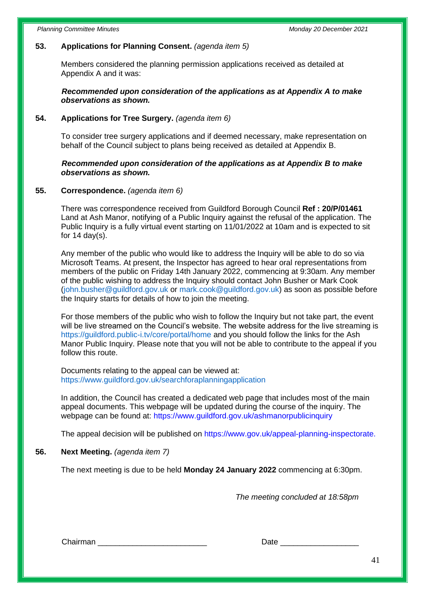### **53. Applications for Planning Consent.** *(agenda item 5)*

Members considered the planning permission applications received as detailed at Appendix A and it was:

#### *Recommended upon consideration of the applications as at Appendix A to make observations as shown.*

### **54. Applications for Tree Surgery.** *(agenda item 6)*

To consider tree surgery applications and if deemed necessary, make representation on behalf of the Council subject to plans being received as detailed at Appendix B.

### *Recommended upon consideration of the applications as at Appendix B to make observations as shown.*

### **55. Correspondence.** *(agenda item 6)*

There was correspondence received from Guildford Borough Council **Ref : 20/P/01461** Land at Ash Manor, notifying of a Public Inquiry against the refusal of the application. The Public Inquiry is a fully virtual event starting on 11/01/2022 at 10am and is expected to sit for  $14 \text{ day}(s)$ .

Any member of the public who would like to address the Inquiry will be able to do so via Microsoft Teams. At present, the Inspector has agreed to hear oral representations from members of the public on Friday 14th January 2022, commencing at 9:30am. Any member of the public wishing to address the Inquiry should contact John Busher or Mark Cook (john.busher@guildford.gov.uk or mark.cook@guildford.gov.uk) as soon as possible before the Inquiry starts for details of how to join the meeting.

For those members of the public who wish to follow the Inquiry but not take part, the event will be live streamed on the Council's website. The website address for the live streaming is https://guildford.public-i.tv/core/portal/home and you should follow the links for the Ash Manor Public Inquiry. Please note that you will not be able to contribute to the appeal if you follow this route.

Documents relating to the appeal can be viewed at: https://www.guildford.gov.uk/searchforaplanningapplication

In addition, the Council has created a dedicated web page that includes most of the main appeal documents. This webpage will be updated during the course of the inquiry. The webpage can be found at: https://www.guildford.gov.uk/ashmanorpublicinquiry

The appeal decision will be published on https://www.gov.uk/appeal-planning-inspectorate.

### **56. Next Meeting.** *(agenda item 7)*

The next meeting is due to be held **Monday 24 January 2022** commencing at 6:30pm.

*The meeting concluded at 18:58pm*

Chairman **Date and Chairman** Date **Date 2**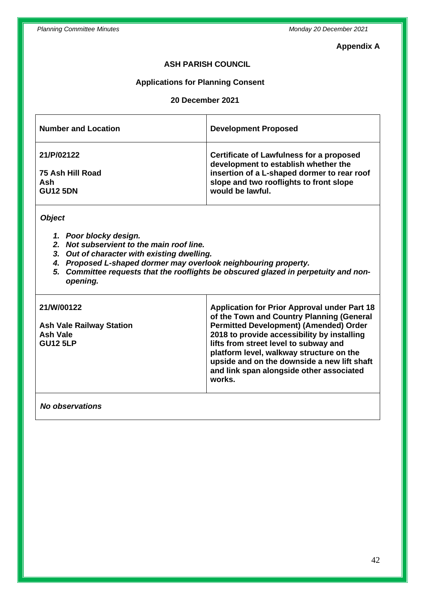### **Appendix A**

## **ASH PARISH COUNCIL**

### **Applications for Planning Consent**

## **20 December 2021**

| <b>Number and Location</b> | <b>Development Proposed</b>                                                      |
|----------------------------|----------------------------------------------------------------------------------|
| 21/P/02122                 | Certificate of Lawfulness for a proposed<br>development to establish whether the |
| 75 Ash Hill Road           | insertion of a L-shaped dormer to rear roof                                      |
| Ash                        | slope and two rooflights to front slope                                          |
| <b>GU12 5DN</b>            | would be lawful.                                                                 |
|                            |                                                                                  |

*Object*

- *1. Poor blocky design.*
- *2. Not subservient to the main roof line.*
- *3. Out of character with existing dwelling.*
- *4. Proposed L-shaped dormer may overlook neighbouring property.*
- *5. Committee requests that the rooflights be obscured glazed in perpetuity and nonopening.*

| 21/W/00122<br><b>Ash Vale Railway Station</b><br><b>Ash Vale</b><br><b>GU12 5LP</b> | <b>Application for Prior Approval under Part 18</b><br>of the Town and Country Planning (General<br><b>Permitted Development) (Amended) Order</b><br>2018 to provide accessibility by installing<br>lifts from street level to subway and<br>platform level, walkway structure on the<br>upside and on the downside a new lift shaft<br>and link span alongside other associated<br>works. |
|-------------------------------------------------------------------------------------|--------------------------------------------------------------------------------------------------------------------------------------------------------------------------------------------------------------------------------------------------------------------------------------------------------------------------------------------------------------------------------------------|
|                                                                                     |                                                                                                                                                                                                                                                                                                                                                                                            |

### *No observations*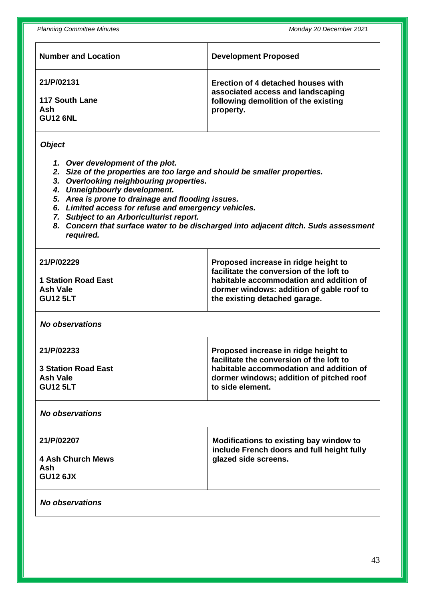| <b>Number and Location</b>                                                                                                                                                                                                                                                                                                                                                                                                                                              | <b>Development Proposed</b>                                                                                                                                                                               |  |  |
|-------------------------------------------------------------------------------------------------------------------------------------------------------------------------------------------------------------------------------------------------------------------------------------------------------------------------------------------------------------------------------------------------------------------------------------------------------------------------|-----------------------------------------------------------------------------------------------------------------------------------------------------------------------------------------------------------|--|--|
| 21/P/02131<br><b>117 South Lane</b><br>Ash<br><b>GU12 6NL</b>                                                                                                                                                                                                                                                                                                                                                                                                           | Erection of 4 detached houses with<br>associated access and landscaping<br>following demolition of the existing<br>property.                                                                              |  |  |
| <b>Object</b><br>1. Over development of the plot.<br>2. Size of the properties are too large and should be smaller properties.<br>3. Overlooking neighbouring properties.<br>4. Unneighbourly development.<br>5. Area is prone to drainage and flooding issues.<br>6. Limited access for refuse and emergency vehicles.<br>7. Subject to an Arboriculturist report.<br>8. Concern that surface water to be discharged into adjacent ditch. Suds assessment<br>required. |                                                                                                                                                                                                           |  |  |
| 21/P/02229<br><b>1 Station Road East</b><br><b>Ash Vale</b><br><b>GU12 5LT</b>                                                                                                                                                                                                                                                                                                                                                                                          | Proposed increase in ridge height to<br>facilitate the conversion of the loft to<br>habitable accommodation and addition of<br>dormer windows: addition of gable roof to<br>the existing detached garage. |  |  |
| <b>No observations</b>                                                                                                                                                                                                                                                                                                                                                                                                                                                  |                                                                                                                                                                                                           |  |  |
| 21/P/02233<br><b>3 Station Road East</b><br><b>Ash Vale</b><br><b>GU12 5LT</b>                                                                                                                                                                                                                                                                                                                                                                                          | Proposed increase in ridge height to<br>facilitate the conversion of the loft to<br>habitable accommodation and addition of<br>dormer windows; addition of pitched roof<br>to side element.               |  |  |
| <b>No observations</b>                                                                                                                                                                                                                                                                                                                                                                                                                                                  |                                                                                                                                                                                                           |  |  |
| 21/P/02207<br><b>4 Ash Church Mews</b><br>Ash<br><b>GU12 6JX</b>                                                                                                                                                                                                                                                                                                                                                                                                        | Modifications to existing bay window to<br>include French doors and full height fully<br>glazed side screens.                                                                                             |  |  |
| <b>No observations</b>                                                                                                                                                                                                                                                                                                                                                                                                                                                  |                                                                                                                                                                                                           |  |  |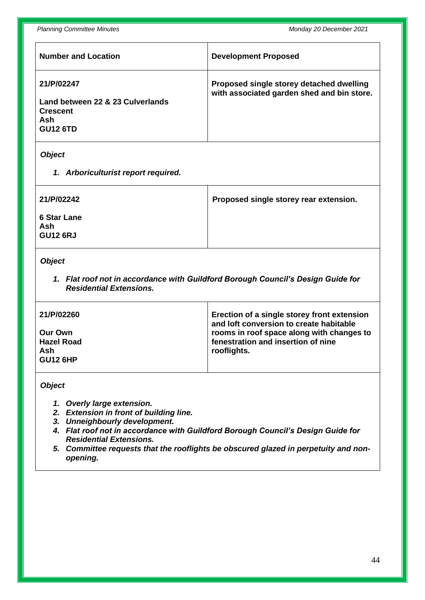*Planning Committee Minutes Monday 20 December 2021*

| <b>Number and Location</b>                                                                  | <b>Development Proposed</b>                                                            |
|---------------------------------------------------------------------------------------------|----------------------------------------------------------------------------------------|
| 21/P/02247<br>Land between 22 & 23 Culverlands<br><b>Crescent</b><br>Ash<br><b>GU12 6TD</b> | Proposed single storey detached dwelling<br>with associated garden shed and bin store. |
|                                                                                             |                                                                                        |

# *Object*

*1. Arboriculturist report required.*

| 21/P/02242                                   | Proposed single storey rear extension. |
|----------------------------------------------|----------------------------------------|
| <b>6 Star Lane</b><br>Ash<br><b>GU12 6RJ</b> |                                        |

## *Object*

*1. Flat roof not in accordance with Guildford Borough Council's Design Guide for Residential Extensions.*

| 21/P/02260        | Erection of a single storey front extension<br>and loft conversion to create habitable |
|-------------------|----------------------------------------------------------------------------------------|
| Our Own           | rooms in roof space along with changes to                                              |
| <b>Hazel Road</b> | fenestration and insertion of nine                                                     |
| Ash               | rooflights.                                                                            |
| <b>GU12 6HP</b>   |                                                                                        |

#### *Object*

- *1. Overly large extension.*
- *2. Extension in front of building line.*
- *3. Unneighbourly development.*
- *4. Flat roof not in accordance with Guildford Borough Council's Design Guide for Residential Extensions.*
- *5. Committee requests that the rooflights be obscured glazed in perpetuity and nonopening.*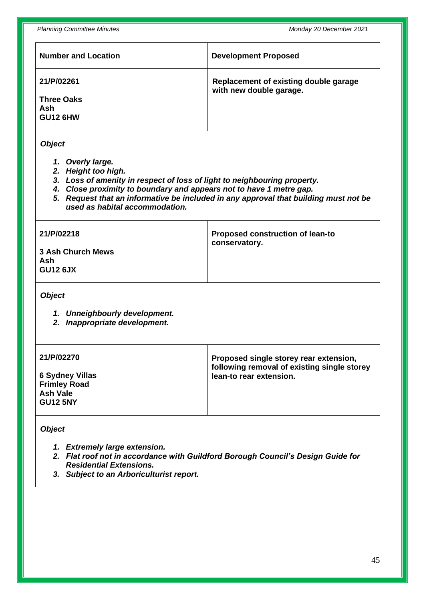*Planning Committee Minutes Monday 20 December 2021*

| <b>Number and Location</b>                                                                                                                                                                                                                                                                                                            | <b>Development Proposed</b>                                                                                      |  |  |
|---------------------------------------------------------------------------------------------------------------------------------------------------------------------------------------------------------------------------------------------------------------------------------------------------------------------------------------|------------------------------------------------------------------------------------------------------------------|--|--|
| 21/P/02261<br><b>Three Oaks</b><br>Ash<br><b>GU12 6HW</b>                                                                                                                                                                                                                                                                             | Replacement of existing double garage<br>with new double garage.                                                 |  |  |
| <b>Object</b><br>1. Overly large.<br>2. Height too high.<br>3. Loss of amenity in respect of loss of light to neighbouring property.<br>4. Close proximity to boundary and appears not to have 1 metre gap.<br>5. Request that an informative be included in any approval that building must not be<br>used as habital accommodation. |                                                                                                                  |  |  |
| 21/P/02218<br><b>3 Ash Church Mews</b><br>Ash<br><b>GU12 6JX</b>                                                                                                                                                                                                                                                                      | <b>Proposed construction of lean-to</b><br>conservatory.                                                         |  |  |
| <b>Object</b><br>1. Unneighbourly development.<br>2. Inappropriate development.                                                                                                                                                                                                                                                       |                                                                                                                  |  |  |
| 21/P/02270<br><b>6 Sydney Villas</b><br><b>Frimley Road</b><br><b>Ash Vale</b><br><b>GU12 5NY</b>                                                                                                                                                                                                                                     | Proposed single storey rear extension,<br>following removal of existing single storey<br>lean-to rear extension. |  |  |
| <b>Object</b><br>1. Extremely large extension.<br>2. Flat roof not in accordance with Guildford Borough Council's Design Guide for<br><b>Residential Extensions.</b><br>3. Subject to an Arboriculturist report.                                                                                                                      |                                                                                                                  |  |  |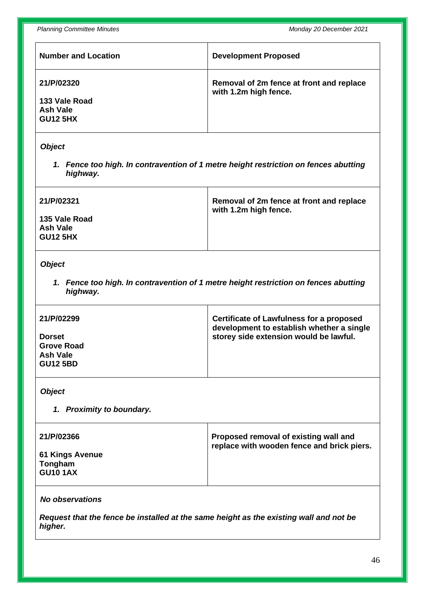| <b>Number and Location</b>                                        | <b>Development Proposed</b>                                       |
|-------------------------------------------------------------------|-------------------------------------------------------------------|
| 21/P/02320<br>133 Vale Road<br><b>Ash Vale</b><br><b>GU12 5HX</b> | Removal of 2m fence at front and replace<br>with 1.2m high fence. |

### *Object*

*1. Fence too high. In contravention of 1 metre height restriction on fences abutting highway.*

| 21/P/02321                                   | Removal of 2m fence at front and replace<br>with 1.2m high fence. |
|----------------------------------------------|-------------------------------------------------------------------|
| 135 Vale Road<br>Ash Vale<br><b>GU12 5HX</b> |                                                                   |

### *Object*

*1. Fence too high. In contravention of 1 metre height restriction on fences abutting highway.*

| 21/P/02299        | Certificate of Lawfulness for a proposed<br>development to establish whether a single |
|-------------------|---------------------------------------------------------------------------------------|
| <b>Dorset</b>     | storey side extension would be lawful.                                                |
| <b>Grove Road</b> |                                                                                       |
| Ash Vale          |                                                                                       |
| <b>GU12 5BD</b>   |                                                                                       |
|                   |                                                                                       |

## *Object*

*1. Proximity to boundary.*

| 21/P/02366                                    | Proposed removal of existing wall and<br>replace with wooden fence and brick piers. |
|-----------------------------------------------|-------------------------------------------------------------------------------------|
| 61 Kings Avenue<br>Tongham<br><b>GU10 1AX</b> |                                                                                     |

## *No observations*

*Request that the fence be installed at the same height as the existing wall and not be higher.*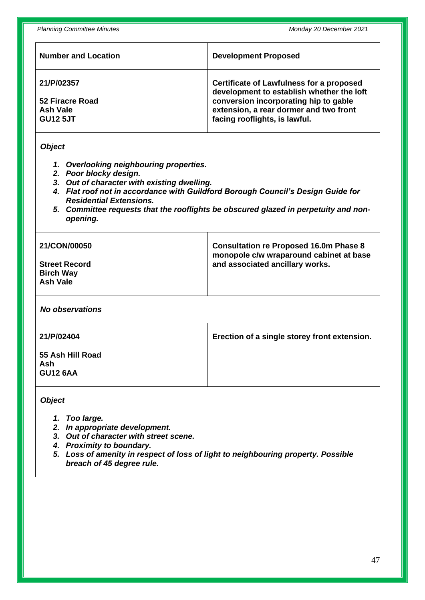| <b>Number and Location</b>         | <b>Development Proposed</b>                                                                  |
|------------------------------------|----------------------------------------------------------------------------------------------|
| 21/P/02357                         | <b>Certificate of Lawfulness for a proposed</b><br>development to establish whether the loft |
| 52 Firacre Road<br><b>Ash Vale</b> | conversion incorporating hip to gable<br>extension, a rear dormer and two front              |
| <b>GU12 5JT</b>                    | facing rooflights, is lawful.                                                                |
|                                    |                                                                                              |

#### *Object*

- *1. Overlooking neighbouring properties.*
- *2. Poor blocky design.*
- *3. Out of character with existing dwelling.*
- *4. Flat roof not in accordance with Guildford Borough Council's Design Guide for Residential Extensions.*
- *5. Committee requests that the rooflights be obscured glazed in perpetuity and nonopening.*

| 21/CON/00050                                         | <b>Consultation re Proposed 16.0m Phase 8</b><br>monopole c/w wraparound cabinet at base |
|------------------------------------------------------|------------------------------------------------------------------------------------------|
| <b>Street Record</b><br><b>Birch Way</b><br>Ash Vale | and associated ancillary works.                                                          |

*No observations*

| 21/P/02404                                 | Erection of a single storey front extension. |
|--------------------------------------------|----------------------------------------------|
| 55 Ash Hill Road<br>Ash<br><b>GU12 6AA</b> |                                              |

*Object*

- *1. Too large.*
- *2. In appropriate development.*
- *3. Out of character with street scene.*
- *4. Proximity to boundary.*
- *5. Loss of amenity in respect of loss of light to neighbouring property. Possible breach of 45 degree rule.*